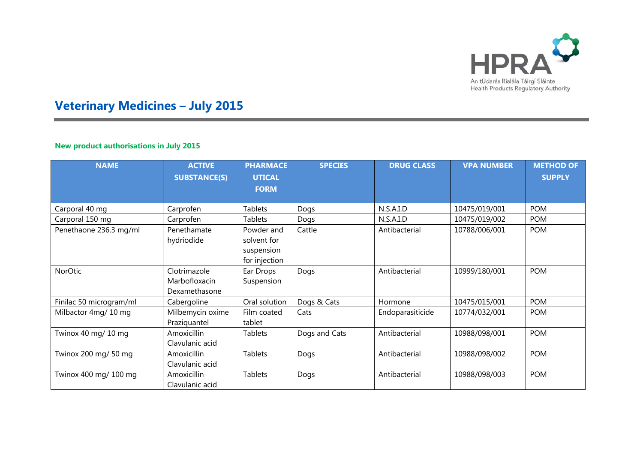

# **Veterinary Medicines – July 2015**

## **New product authorisations in July 2015**

÷

| <b>NAME</b>             | <b>ACTIVE</b><br><b>SUBSTANCE(S)</b>           | <b>PHARMACE</b><br><b>UTICAL</b><br><b>FORM</b>          | <b>SPECIES</b> | <b>DRUG CLASS</b> | <b>VPA NUMBER</b> | <b>METHOD OF</b><br><b>SUPPLY</b> |
|-------------------------|------------------------------------------------|----------------------------------------------------------|----------------|-------------------|-------------------|-----------------------------------|
| Carporal 40 mg          | Carprofen                                      | <b>Tablets</b>                                           | Dogs           | N.S.A.I.D         | 10475/019/001     | <b>POM</b>                        |
| Carporal 150 mg         | Carprofen                                      | Tablets                                                  | Dogs           | N.S.A.I.D         | 10475/019/002     | <b>POM</b>                        |
| Penethaone 236.3 mg/ml  | Penethamate<br>hydriodide                      | Powder and<br>solvent for<br>suspension<br>for injection | Cattle         | Antibacterial     | 10788/006/001     | <b>POM</b>                        |
| NorOtic                 | Clotrimazole<br>Marbofloxacin<br>Dexamethasone | Ear Drops<br>Suspension                                  | Dogs           | Antibacterial     | 10999/180/001     | <b>POM</b>                        |
| Finilac 50 microgram/ml | Cabergoline                                    | Oral solution                                            | Dogs & Cats    | Hormone           | 10475/015/001     | <b>POM</b>                        |
| Milbactor 4mg/ 10 mg    | Milbemycin oxime<br>Praziquantel               | Film coated<br>tablet                                    | Cats           | Endoparasiticide  | 10774/032/001     | <b>POM</b>                        |
| Twinox 40 mg/ 10 mg     | Amoxicillin<br>Clavulanic acid                 | <b>Tablets</b>                                           | Dogs and Cats  | Antibacterial     | 10988/098/001     | <b>POM</b>                        |
| Twinox 200 mg/ 50 mg    | Amoxicillin<br>Clavulanic acid                 | <b>Tablets</b>                                           | Dogs           | Antibacterial     | 10988/098/002     | <b>POM</b>                        |
| Twinox 400 mg/ 100 mg   | Amoxicillin<br>Clavulanic acid                 | <b>Tablets</b>                                           | Dogs           | Antibacterial     | 10988/098/003     | <b>POM</b>                        |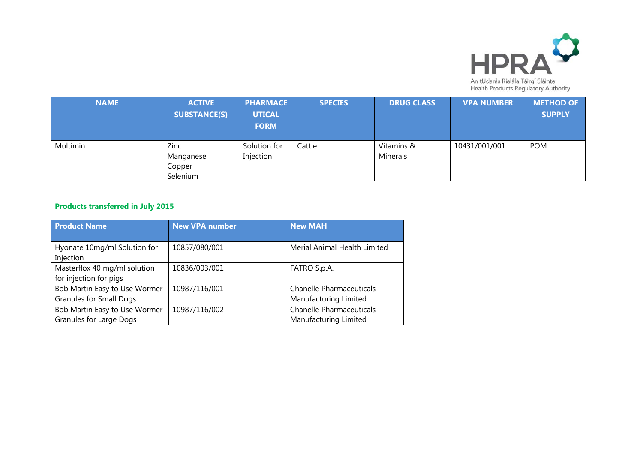

| <b>NAME</b> | <b>ACTIVE</b><br><b>SUBSTANCE(S)</b>    | <b>PHARMACE</b><br><b>UTICAL</b><br><b>FORM</b> | <b>SPECIES</b> | <b>DRUG CLASS</b>      | <b>VPA NUMBER</b> | <b>METHOD OF</b><br><b>SUPPLY</b> |
|-------------|-----------------------------------------|-------------------------------------------------|----------------|------------------------|-------------------|-----------------------------------|
| Multimin    | Zinc<br>Manganese<br>Copper<br>Selenium | Solution for<br>Injection                       | Cattle         | Vitamins &<br>Minerals | 10431/001/001     | <b>POM</b>                        |

#### **Products transferred in July 2015**

| <b>Product Name</b>            | <b>New VPA number</b> | <b>New MAH</b>                  |  |
|--------------------------------|-----------------------|---------------------------------|--|
|                                |                       |                                 |  |
| Hyonate 10mg/ml Solution for   | 10857/080/001         | Merial Animal Health Limited    |  |
| Injection                      |                       |                                 |  |
| Masterflox 40 mg/ml solution   | 10836/003/001         | FATRO S.p.A.                    |  |
| for injection for pigs         |                       |                                 |  |
| Bob Martin Easy to Use Wormer  | 10987/116/001         | <b>Chanelle Pharmaceuticals</b> |  |
| <b>Granules for Small Dogs</b> |                       | Manufacturing Limited           |  |
| Bob Martin Easy to Use Wormer  | 10987/116/002         | <b>Chanelle Pharmaceuticals</b> |  |
| Granules for Large Dogs        |                       | Manufacturing Limited           |  |